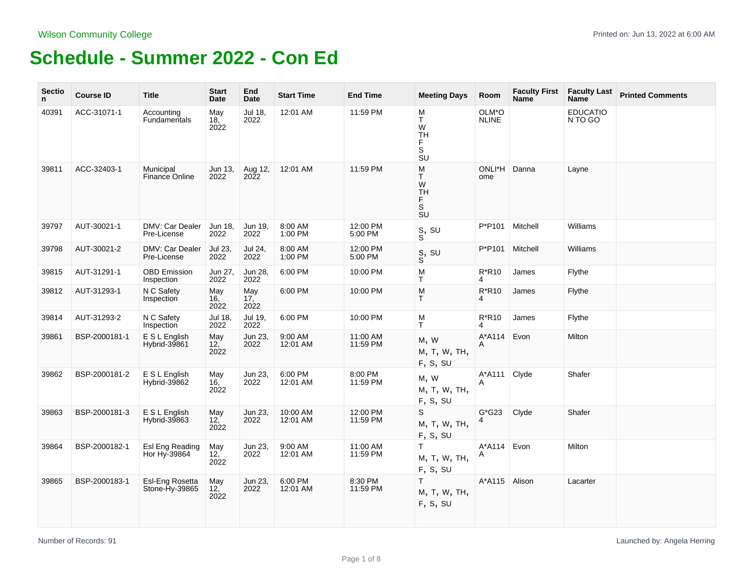| <b>Sectio</b><br>n. | <b>Course ID</b> | <b>Title</b>                      | <b>Start</b><br>Date | End<br>Date        | <b>Start Time</b>    | <b>End Time</b>      | <b>Meeting Days</b>                                                                                   | Room                  | <b>Faculty First</b><br><b>Name</b> | <b>Faculty Last</b><br>Name <sup>®</sup> | <b>Printed Comments</b> |
|---------------------|------------------|-----------------------------------|----------------------|--------------------|----------------------|----------------------|-------------------------------------------------------------------------------------------------------|-----------------------|-------------------------------------|------------------------------------------|-------------------------|
| 40391               | ACC-31071-1      | Accounting<br>Fundamentals        | May<br>18,<br>2022   | Jul 18,<br>2022    | 12:01 AM             | 11:59 PM             | M<br>Τ<br>$\dot{W}$<br><b>TH</b><br>F<br>$\mathsf S$<br>SU                                            | OLM*O<br><b>NLINE</b> |                                     | <b>EDUCATIO</b><br>N TO GO               |                         |
| 39811               | ACC-32403-1      | Municipal<br>Finance Online       | Jun 13,<br>2022      | Aug 12,<br>2022    | 12:01 AM             | 11:59 PM             | M<br>T.<br>W<br><b>TH</b><br>F<br>$\overline{\mathbf{s}}$<br>SU                                       | ONLI*H Danna<br>ome   |                                     | Layne                                    |                         |
| 39797               | AUT-30021-1      | DMV: Car Dealer<br>Pre-License    | Jun 18,<br>2022      | Jun 19,<br>2022    | 8:00 AM<br>1:00 PM   | 12:00 PM<br>5:00 PM  | $_{\rm S}^{\rm S},$ su                                                                                | P*P101                | Mitchell                            | Williams                                 |                         |
| 39798               | AUT-30021-2      | DMV: Car Dealer<br>Pre-License    | Jul 23,<br>2022      | Jul 24,<br>2022    | 8:00 AM<br>1:00 PM   | 12:00 PM<br>5:00 PM  | $_{\rm S}^{\rm S},$ su                                                                                | P*P101                | Mitchell                            | Williams                                 |                         |
| 39815               | AUT-31291-1      | <b>OBD Emission</b><br>Inspection | Jun 27,<br>2022      | Jun 28,<br>2022    | 6:00 PM              | 10:00 PM             | M<br>Τ                                                                                                | R*R10<br>4            | James                               | Flythe                                   |                         |
| 39812               | AUT-31293-1      | N C Safety<br>Inspection          | May<br>16.<br>2022   | May<br>17,<br>2022 | 6:00 PM              | 10:00 PM             | $\mathsf{M}% _{T}=\mathsf{M}_{T}\!\left( a,b\right) ,\ \mathsf{M}_{T}=\mathsf{M}_{T}$<br>$\mathsf{T}$ | R*R10<br>4            | James                               | Flythe                                   |                         |
| 39814               | AUT-31293-2      | N C Safety<br>Inspection          | Jul 18,<br>2022      | Jul 19,<br>2022    | 6:00 PM              | 10:00 PM             | M<br>$\mathsf{T}$                                                                                     | R*R10<br>4            | James                               | Flythe                                   |                         |
| 39861               | BSP-2000181-1    | E S L English<br>Hybrid-39861     | May<br>12,<br>2022   | Jun 23,<br>2022    | 9:00 AM<br>12:01 AM  | 11:00 AM<br>11:59 PM | M, W<br>M, T, W, TH,<br>F, S, SU                                                                      | A*A114<br>A           | Evon                                | Milton                                   |                         |
| 39862               | BSP-2000181-2    | E S L English<br>Hybrid-39862     | May<br>16.<br>2022   | Jun 23.<br>2022    | 6:00 PM<br>12:01 AM  | 8:00 PM<br>11:59 PM  | M, W<br>M, T, W, TH,<br>F, S, SU                                                                      | A*A111 Clyde<br>A     |                                     | Shafer                                   |                         |
| 39863               | BSP-2000181-3    | E S L English<br>Hybrid-39863     | May<br>12,<br>2022   | Jun 23,<br>2022    | 10:00 AM<br>12:01 AM | 12:00 PM<br>11:59 PM | S<br>M, T, W, TH,<br>F, S, SU                                                                         | $G*G23$<br>4          | Clyde                               | Shafer                                   |                         |
| 39864               | BSP-2000182-1    | Esl Eng Reading<br>Hor Hy-39864   | May<br>12,<br>2022   | Jun 23,<br>2022    | 9:00 AM<br>12:01 AM  | 11:00 AM<br>11:59 PM | T.<br>M, T, W, TH,<br>F, S, SU                                                                        | A*A114<br>A           | Evon                                | Milton                                   |                         |
| 39865               | BSP-2000183-1    | Esl-Eng Rosetta<br>Stone-Hy-39865 | May<br>12,<br>2022   | Jun 23,<br>2022    | 6:00 PM<br>12:01 AM  | 8:30 PM<br>11:59 PM  | T.<br>M, T, W, TH,<br>F, S, SU                                                                        | A*A115                | Alison                              | Lacarter                                 |                         |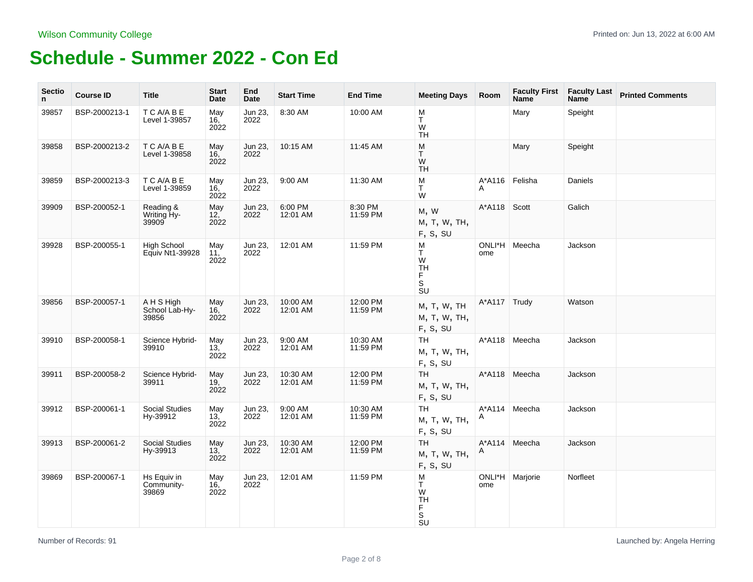| <b>Sectio</b><br>n. | <b>Course ID</b> | Title                                 | <b>Start</b><br>Date           | End<br>Date     | <b>Start Time</b>    | <b>End Time</b>      | <b>Meeting Days Room</b>                                                            |               | <b>Faculty First</b><br><b>Name</b> | <b>Faculty Last</b><br>Name <sup>1</sup> | <b>Printed Comments</b> |
|---------------------|------------------|---------------------------------------|--------------------------------|-----------------|----------------------|----------------------|-------------------------------------------------------------------------------------|---------------|-------------------------------------|------------------------------------------|-------------------------|
| 39857               | BSP-2000213-1    | T C A/A B E<br>Level 1-39857          | May<br>16,<br>2022             | Jun 23,<br>2022 | 8:30 AM              | 10:00 AM             | M<br>T<br>W<br><b>TH</b>                                                            |               | Mary                                | Speight                                  |                         |
| 39858               | BSP-2000213-2    | T C A/A B E<br>Level 1-39858          | May<br>16,<br>2022             | Jun 23,<br>2022 | 10:15 AM             | 11:45 AM             | M<br>T.<br>W<br><b>TH</b>                                                           |               | Mary                                | Speight                                  |                         |
| 39859               | BSP-2000213-3    | T C A/A B E<br>Level 1-39859          | May<br>16,<br>2022             | Jun 23.<br>2022 | 9:00 AM              | 11:30 AM             | M<br>$\top$<br>W                                                                    | A*A116<br>A   | Felisha                             | Daniels                                  |                         |
| 39909               | BSP-200052-1     | Reading &<br>Writing Hy-<br>39909     | May<br>12,<br>2022             | Jun 23,<br>2022 | 6:00 PM<br>12:01 AM  | 8:30 PM<br>11:59 PM  | M, W<br>M, T, W, TH,<br>F, S, SU                                                    | A*A118        | Scott                               | Galich                                   |                         |
| 39928               | BSP-200055-1     | <b>High School</b><br>Equiv Nt1-39928 | May<br>11,<br>2022             | Jun 23,<br>2022 | 12:01 AM             | 11:59 PM             | M<br>T<br>W<br><b>TH</b><br>$_{\rm S}^{\rm F}$<br>$\overline{\mathsf{S}}\mathsf{U}$ | ONLI*H<br>ome | Meecha                              | Jackson                                  |                         |
| 39856               | BSP-200057-1     | A H S High<br>School Lab-Hy-<br>39856 | May<br>16.<br>2022             | Jun 23,<br>2022 | 10:00 AM<br>12:01 AM | 12:00 PM<br>11:59 PM | M, T, W, TH<br>M, T, W, TH,<br>F, S, SU                                             | A*A117 Trudy  |                                     | Watson                                   |                         |
| 39910               | BSP-200058-1     | Science Hybrid-<br>39910              | May<br>13,<br>2022             | Jun 23,<br>2022 | 9:00 AM<br>12:01 AM  | 10:30 AM<br>11:59 PM | TH<br>M, T, W, TH,<br>F, S, SU                                                      | A*A118        | Meecha                              | Jackson                                  |                         |
| 39911               | BSP-200058-2     | Science Hybrid-<br>39911              | May<br>19 <sub>1</sub><br>2022 | Jun 23,<br>2022 | 10:30 AM<br>12:01 AM | 12:00 PM<br>11:59 PM | <b>TH</b><br>M, T, W, TH,<br>F, S, SU                                               | A*A118        | Meecha                              | Jackson                                  |                         |
| 39912               | BSP-200061-1     | <b>Social Studies</b><br>Hy-39912     | May<br>13,<br>2022             | Jun 23,<br>2022 | 9:00 AM<br>12:01 AM  | 10:30 AM<br>11:59 PM | TH.<br>M, T, W, TH,<br>F, S, SU                                                     | A*A114<br>A   | Meecha                              | Jackson                                  |                         |
| 39913               | BSP-200061-2     | <b>Social Studies</b><br>Hy-39913     | May<br>13,<br>2022             | Jun 23,<br>2022 | 10:30 AM<br>12:01 AM | 12:00 PM<br>11:59 PM | TH.<br>M, T, W, TH,<br>F, S, SU                                                     | A*A114<br>A   | Meecha                              | Jackson                                  |                         |
| 39869               | BSP-200067-1     | Hs Equiv in<br>Community-<br>39869    | May<br>16,<br>2022             | Jun 23,<br>2022 | 12:01 AM             | 11:59 PM             | M<br>T<br>W<br><b>TH</b><br>F<br>$\overline{\mathbf{s}}$<br>$\overline{S}U$         | ome           | ONLI*H   Marjorie                   | Norfleet                                 |                         |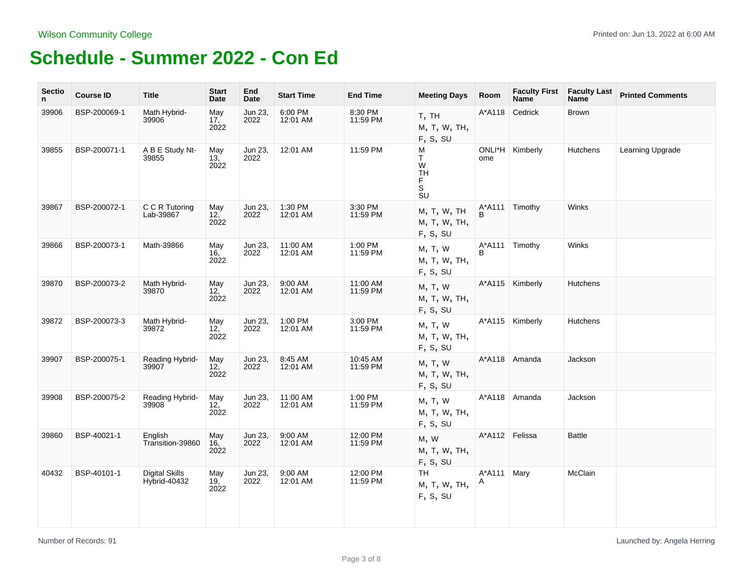| <b>Sectio</b><br>n. | <b>Course ID</b> | <b>Title</b>                          | <b>Start</b><br>Date           | End<br>Date     | <b>Start Time</b>    | <b>End Time</b>      | <b>Meeting Days</b>                                                       | Room           | <b>Faculty First</b><br><b>Name</b> | <b>Faculty Last</b><br><b>Name</b> | <b>Printed Comments</b> |
|---------------------|------------------|---------------------------------------|--------------------------------|-----------------|----------------------|----------------------|---------------------------------------------------------------------------|----------------|-------------------------------------|------------------------------------|-------------------------|
| 39906               | BSP-200069-1     | Math Hybrid-<br>39906                 | May<br>17,<br>2022             | Jun 23,<br>2022 | 6:00 PM<br>12:01 AM  | 8:30 PM<br>11:59 PM  | T, TH<br>M, T, W, TH,<br>F, S, SU                                         | A*A118         | Cedrick                             | <b>Brown</b>                       |                         |
| 39855               | BSP-200071-1     | A B E Study Nt-<br>39855              | May<br>13,<br>2022             | Jun 23,<br>2022 | 12:01 AM             | 11:59 PM             | M<br>T.<br>W<br><b>TH</b><br>$_{\rm S}^{\rm F}$<br>$\overline{\text{SU}}$ | ONLI*H<br>ome  | Kimberly                            | <b>Hutchens</b>                    | Learning Upgrade        |
| 39867               | BSP-200072-1     | C C R Tutoring<br>Lab-39867           | May<br>12,<br>2022             | Jun 23,<br>2022 | 1:30 PM<br>12:01 AM  | 3:30 PM<br>11:59 PM  | M, T, W, TH<br>M, T, W, TH,<br>F, S, SU                                   | A*A111<br>B    | Timothy                             | Winks                              |                         |
| 39866               | BSP-200073-1     | Math-39866                            | May<br>16,<br>2022             | Jun 23,<br>2022 | 11:00 AM<br>12:01 AM | 1:00 PM<br>11:59 PM  | M, T, W<br>M, T, W, TH,<br>F, S, SU                                       | A*A111<br>B    | Timothy                             | Winks                              |                         |
| 39870               | BSP-200073-2     | Math Hybrid-<br>39870                 | May<br>12,<br>2022             | Jun 23,<br>2022 | 9:00 AM<br>12:01 AM  | 11:00 AM<br>11:59 PM | M, T, W<br>M, T, W, TH,<br>F, S, SU                                       |                | A*A115   Kimberly                   | <b>Hutchens</b>                    |                         |
| 39872               | BSP-200073-3     | Math Hybrid-<br>39872                 | May<br>12, 2022                | Jun 23,<br>2022 | 1:00 PM<br>12:01 AM  | 3:00 PM<br>11:59 PM  | M, T, W<br>M, T, W, TH,<br>F, S, SU                                       |                | A*A115   Kimberly                   | <b>Hutchens</b>                    |                         |
| 39907               | BSP-200075-1     | Reading Hybrid-<br>39907              | May<br>12,<br>2022             | Jun 23,<br>2022 | 8:45 AM<br>12:01 AM  | 10:45 AM<br>11:59 PM | M, T, W<br>M, T, W, TH,<br>F, S, SU                                       | A*A118         | Amanda                              | Jackson                            |                         |
| 39908               | BSP-200075-2     | Reading Hybrid-<br>39908              | May<br>12 <sup>7</sup><br>2022 | Jun 23,<br>2022 | 11:00 AM<br>12:01 AM | 1:00 PM<br>11:59 PM  | M, T, W<br>M, T, W, TH,<br>F, S, SU                                       | A*A118         | Amanda                              | Jackson                            |                         |
| 39860               | BSP-40021-1      | English<br>Transition-39860           | May<br>16,<br>2022             | Jun 23,<br>2022 | 9:00 AM<br>12:01 AM  | 12:00 PM<br>11:59 PM | M, W<br>M, T, W, TH,<br>F, S, SU                                          | A*A112 Felissa |                                     | <b>Battle</b>                      |                         |
| 40432               | BSP-40101-1      | <b>Digital Skills</b><br>Hybrid-40432 | May<br>19,<br>2022             | Jun 23,<br>2022 | 9:00 AM<br>12:01 AM  | 12:00 PM<br>11:59 PM | TH<br>M, T, W, TH,<br>F, S, SU                                            | A*A111<br>A    | Mary                                | McClain                            |                         |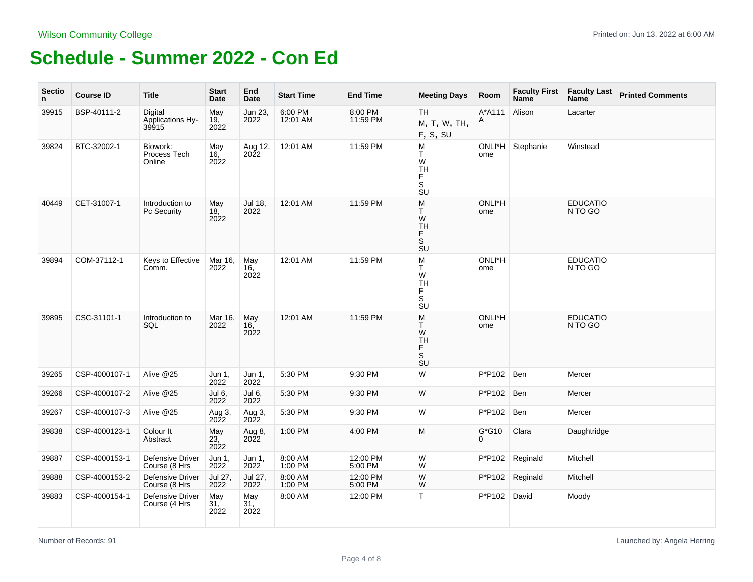| <b>Sectio</b><br>n. | <b>Course ID</b> | <b>Title</b>                             | <b>Start</b><br>Date           | End<br>Date                    | <b>Start Time</b>   | <b>End Time</b>     | <b>Meeting Days</b>                                                                                                                                       | Room          | <b>Faculty First</b><br><b>Name</b> | <b>Faculty Last</b><br><b>Name</b> | <b>Printed Comments</b> |
|---------------------|------------------|------------------------------------------|--------------------------------|--------------------------------|---------------------|---------------------|-----------------------------------------------------------------------------------------------------------------------------------------------------------|---------------|-------------------------------------|------------------------------------|-------------------------|
| 39915               | BSP-40111-2      | Digital<br>Applications Hy-<br>39915     | May<br>19,<br>2022             | Jun 23,<br>2022                | 6:00 PM<br>12:01 AM | 8:00 PM<br>11:59 PM | <b>TH</b><br>M, T, W, TH,<br>F, S, SU                                                                                                                     | A*A111<br>A   | Alison                              | Lacarter                           |                         |
| 39824               | BTC-32002-1      | Biowork:<br>Process Tech<br>Online       | May<br>16,<br>2022             | Aug 12,<br>2022                | 12:01 AM            | 11:59 PM            | M<br>T.<br>W<br><b>TH</b><br>F<br>$\overline{\mathbf{s}}$<br><b>SU</b>                                                                                    | ONLI*H<br>ome | Stephanie                           | Winstead                           |                         |
| 40449               | CET-31007-1      | Introduction to<br>Pc Security           | May<br>18,<br>2022             | Jul 18,<br>2022                | 12:01 AM            | 11:59 PM            | M<br>T.<br>W<br><b>TH</b><br>F<br>$\mathbb S$<br><b>SU</b>                                                                                                | ONLI*H<br>ome |                                     | <b>EDUCATIO</b><br>N TO GO         |                         |
| 39894               | COM-37112-1      | Keys to Effective<br>Comm.               | Mar 16,<br>2022                | May<br>16,<br>2022             | 12:01 AM            | 11:59 PM            | M<br>T<br>W<br><b>TH</b><br>F<br>$\overline{\mathbf{s}}$<br>SU                                                                                            | ONLI*H<br>ome |                                     | <b>EDUCATIO</b><br>N TO GO         |                         |
| 39895               | CSC-31101-1      | Introduction to<br>SQL                   | Mar 16,<br>2022                | May<br>16,<br>2022             | 12:01 AM            | 11:59 PM            | $\mathsf{M}% _{T}=\mathsf{M}_{T}\!\left( a,b\right) ,\ \mathsf{M}_{T}=\mathsf{M}_{T}\!\left( a,b\right) ,$<br>T.<br>W<br><b>TH</b><br>F<br>S<br><b>SU</b> | ONLI*H<br>ome |                                     | <b>EDUCATIO</b><br>N TO GO         |                         |
| 39265               | CSP-4000107-1    | Alive @25                                | Jun 1,<br>2022                 | Jun 1,<br>2022                 | 5:30 PM             | 9:30 PM             | W                                                                                                                                                         | P*P102        | Ben                                 | Mercer                             |                         |
| 39266               | CSP-4000107-2    | Alive @25                                | Jul 6,<br>2022                 | Jul 6,<br>2022                 | 5:30 PM             | 9:30 PM             | W                                                                                                                                                         | P*P102        | Ben                                 | Mercer                             |                         |
| 39267               | CSP-4000107-3    | Alive @25                                | Aug 3,<br>2022                 | Aug 3,<br>2022                 | 5:30 PM             | 9:30 PM             | W                                                                                                                                                         | P*P102        | Ben                                 | Mercer                             |                         |
| 39838               | CSP-4000123-1    | Colour It<br>Abstract                    | May<br>23,<br>2022             | Aug 8,<br>$20\tilde{2}2$       | 1:00 PM             | 4:00 PM             | M                                                                                                                                                         | $G*G10$<br>0  | Clara                               | Daughtridge                        |                         |
| 39887               | CSP-4000153-1    | Defensive Driver<br>Course (8 Hrs        | Jun 1,<br>2022                 | Jun 1,<br>2022                 | 8:00 AM<br>1:00 PM  | 12:00 PM<br>5:00 PM | W<br>W                                                                                                                                                    | P*P102        | Reginald                            | Mitchell                           |                         |
| 39888               | CSP-4000153-2    | Defensive Driver<br>Course (8 Hrs        | Jul 27,<br>2022                | Jul 27,<br>2022                | 8:00 AM<br>1:00 PM  | 12:00 PM<br>5:00 PM | W<br>W                                                                                                                                                    | P*P102        | Reginald                            | Mitchell                           |                         |
| 39883               | CSP-4000154-1    | <b>Defensive Driver</b><br>Course (4 Hrs | May<br>31 <sub>1</sub><br>2022 | May<br>31 <sub>1</sub><br>2022 | 8:00 AM             | 12:00 PM            | Τ                                                                                                                                                         | P*P102 David  |                                     | Moody                              |                         |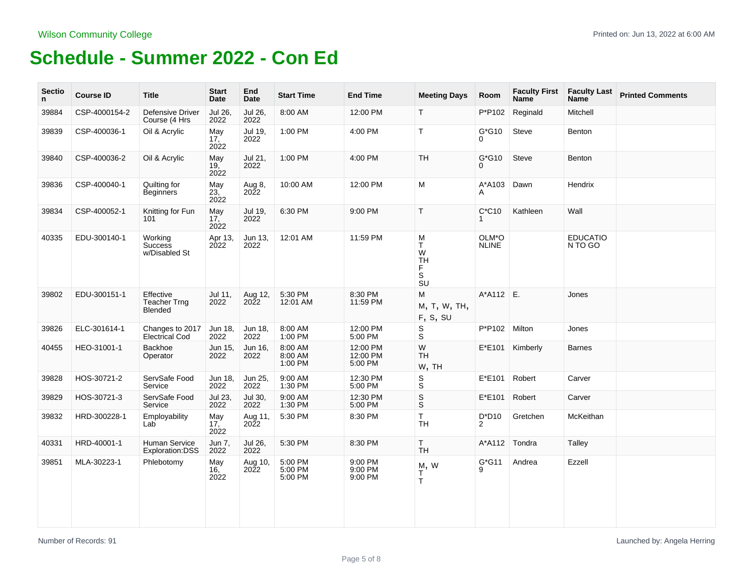| <b>Sectio</b><br>n. | <b>Course ID</b> | <b>Title</b>                                       | <b>Start</b><br>Date           | End<br>Date            | <b>Start Time</b>             | <b>End Time</b>                 | <b>Meeting Days</b>                                   | Room                       | <b>Faculty First</b><br><b>Name</b> | <b>Faculty Last</b><br><b>Name</b> | <b>Printed Comments</b> |
|---------------------|------------------|----------------------------------------------------|--------------------------------|------------------------|-------------------------------|---------------------------------|-------------------------------------------------------|----------------------------|-------------------------------------|------------------------------------|-------------------------|
| 39884               | CSP-4000154-2    | <b>Defensive Driver</b><br>Course (4 Hrs           | Jul 26,<br>2022                | Jul 26,<br>2022        | 8:00 AM                       | 12:00 PM                        | T.                                                    | P*P102                     | Reginald                            | Mitchell                           |                         |
| 39839               | CSP-400036-1     | Oil & Acrylic                                      | May<br>17,<br>2022             | Jul 19,<br>2022        | 1:00 PM                       | 4:00 PM                         | T.                                                    | $G*G10$<br>0               | Steve                               | Benton                             |                         |
| 39840               | CSP-400036-2     | Oil & Acrylic                                      | May<br>19 <sub>1</sub><br>2022 | Jul 21,<br>2022        | 1:00 PM                       | 4:00 PM                         | TH                                                    | $G*G10$<br>0               | Steve                               | Benton                             |                         |
| 39836               | CSP-400040-1     | Quilting for<br><b>Beginners</b>                   | May<br>23, 2022                | Aug 8,<br>2022         | 10:00 AM                      | 12:00 PM                        | M                                                     | A*A103<br>A                | Dawn                                | Hendrix                            |                         |
| 39834               | CSP-400052-1     | Knitting for Fun<br>101                            | May<br>$17,^{\degree}$<br>2022 | Jul 19,<br>2022        | 6:30 PM                       | 9:00 PM                         | T.                                                    | $C^*C10$                   | Kathleen                            | Wall                               |                         |
| 40335               | EDU-300140-1     | Working<br><b>Success</b><br>w/Disabled St         | Apr 13,<br>2022                | Jun 13,<br>2022        | 12:01 AM                      | 11:59 PM                        | M<br>T.<br>W<br>TH<br>$_{\rm S}^{\rm F}$<br><b>SU</b> | OLM*O<br><b>NLINE</b>      |                                     | <b>EDUCATIO</b><br>N TO GO         |                         |
| 39802               | EDU-300151-1     | Effective<br><b>Teacher Trng</b><br><b>Blended</b> | Jul 11,<br>2022                | Aug 12,<br>2022        | 5:30 PM<br>12:01 AM           | 8:30 PM<br>11:59 PM             | M<br>M, T, W, TH,<br>F, S, SU                         | $A^*A112$ E.               |                                     | Jones                              |                         |
| 39826               | ELC-301614-1     | Changes to 2017<br><b>Electrical Cod</b>           | Jun 18,<br>2022                | Jun 18,<br>2022        | 8:00 AM<br>1:00 PM            | 12:00 PM<br>5:00 PM             | $_{\rm S}^{\rm S}$                                    | P*P102                     | Milton                              | Jones                              |                         |
| 40455               | HEO-31001-1      | Backhoe<br>Operator                                | Jun 15,<br>2022                | Jun 16,<br>2022        | 8:00 AM<br>8:00 AM<br>1:00 PM | 12:00 PM<br>12:00 PM<br>5:00 PM | W<br><b>TH</b><br>W, TH                               | $E*E101$                   | Kimberly                            | <b>Barnes</b>                      |                         |
| 39828               | HOS-30721-2      | ServSafe Food<br>Service                           | Jun 18,<br>2022                | Jun 25,<br>2022        | 9:00 AM<br>1:30 PM            | 12:30 PM<br>5:00 PM             | $\mathbb S$<br>$\mathbb S$                            | $E*E101$                   | Robert                              | Carver                             |                         |
| 39829               | HOS-30721-3      | ServSafe Food<br>Service                           | Jul 23,<br>2022                | Jul 30,<br>2022        | 9:00 AM<br>1:30 PM            | 12:30 PM<br>5:00 PM             | $_{\rm S}^{\rm S}$                                    | E*E101                     | Robert                              | Carver                             |                         |
| 39832               | HRD-300228-1     | Employability<br>Lab                               | May<br>17,<br>2022             | Aug 11,<br>2022        | 5:30 PM                       | 8:30 PM                         | $\mathsf T$<br><b>TH</b>                              | $D^*D10$<br>$\overline{2}$ | Gretchen                            | McKeithan                          |                         |
| 40331               | HRD-40001-1      | Human Service<br>Exploration:DSS                   | Jun 7,<br>2022                 | Jul 26,<br>2022        | 5:30 PM                       | 8:30 PM                         | $\mathsf T$<br><b>TH</b>                              | $A^*A112$                  | Tondra                              | Talley                             |                         |
| 39851               | MLA-30223-1      | Phlebotomy                                         | May<br>16,<br>2022             | Aug 10,<br><b>2022</b> | 5:00 PM<br>5:00 PM<br>5:00 PM | 9:00 PM<br>9:00 PM<br>9:00 PM   | M, W<br>$\frac{1}{T}$                                 | $G*G11$<br>9               | Andrea                              | Ezzell                             |                         |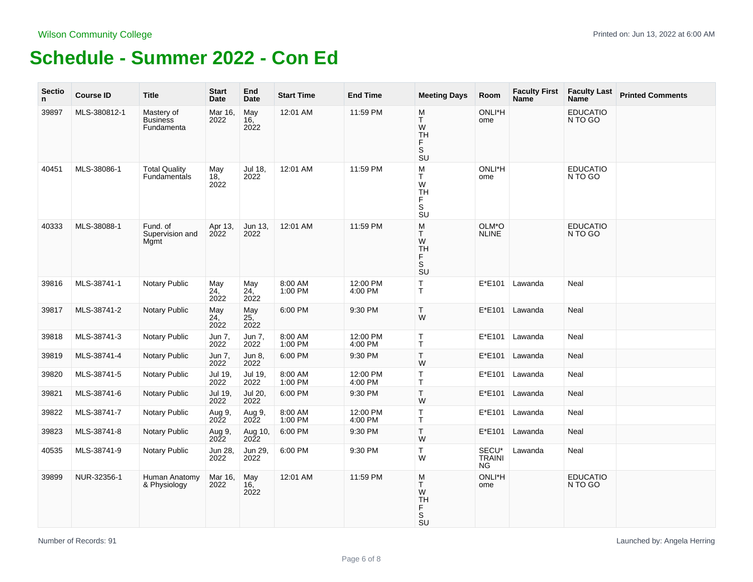| <b>Sectio</b><br>n. | <b>Course ID</b> | <b>Title</b>                                | <b>Start</b><br>Date | End<br>Date               | <b>Start Time</b>  | <b>End Time</b>     | <b>Meeting Days</b>                                                                                                                                       | Room                                | <b>Faculty First</b><br><b>Name</b> | <b>Faculty Last</b><br>Name <sup>®</sup> | <b>Printed Comments</b> |
|---------------------|------------------|---------------------------------------------|----------------------|---------------------------|--------------------|---------------------|-----------------------------------------------------------------------------------------------------------------------------------------------------------|-------------------------------------|-------------------------------------|------------------------------------------|-------------------------|
| 39897               | MLS-380812-1     | Mastery of<br><b>Business</b><br>Fundamenta | Mar 16,<br>2022      | May<br>16,<br>2022        | 12:01 AM           | 11:59 PM            | M<br>T<br>W<br><b>TH</b><br>F<br>$\overline{\mathbf{s}}$<br>SU                                                                                            | ONLI*H<br>ome                       |                                     | <b>EDUCATIO</b><br>N TO GO               |                         |
| 40451               | MLS-38086-1      | <b>Total Quality</b><br><b>Fundamentals</b> | May<br>18,<br>2022   | Jul 18.<br>2022           | 12:01 AM           | 11:59 PM            | $\sf M$<br>T<br>${\sf W}$<br><b>TH</b><br>F<br>S<br><b>SU</b>                                                                                             | ONLI*H<br>ome                       |                                     | <b>EDUCATIO</b><br>N TO GO               |                         |
| 40333               | MLS-38088-1      | Fund. of<br>Supervision and<br>Mgmt         | Apr 13,<br>2022      | Jun 13,<br>2022           | 12:01 AM           | 11:59 PM            | M<br>T<br>W<br>TH<br>F<br>$\overline{\mathsf{s}}$<br><b>SU</b>                                                                                            | OLM*O<br><b>NLINE</b>               |                                     | <b>EDUCATIO</b><br>N TO GO               |                         |
| 39816               | MLS-38741-1      | Notary Public                               | May<br>24,<br>2022   | May<br>24,<br>2022        | 8:00 AM<br>1:00 PM | 12:00 PM<br>4:00 PM | T.<br>T                                                                                                                                                   | E*E101                              | Lawanda                             | Neal                                     |                         |
| 39817               | MLS-38741-2      | <b>Notary Public</b>                        | May<br>24,<br>2022   | May<br>25,<br>2022        | 6:00 PM            | 9:30 PM             | Τ<br>W                                                                                                                                                    | E*E101                              | Lawanda                             | Neal                                     |                         |
| 39818               | MLS-38741-3      | Notary Public                               | Jun 7,<br>2022       | Jun 7,<br>2022            | 8:00 AM<br>1:00 PM | 12:00 PM<br>4:00 PM | T.<br>Т                                                                                                                                                   | E*E101                              | Lawanda                             | Neal                                     |                         |
| 39819               | MLS-38741-4      | <b>Notary Public</b>                        | Jun 7,<br>2022       | Jun 8,<br>2022            | 6:00 PM            | 9:30 PM             | T<br>W                                                                                                                                                    | E*E101                              | Lawanda                             | Neal                                     |                         |
| 39820               | MLS-38741-5      | <b>Notary Public</b>                        | Jul 19,<br>2022      | Jul 19,<br>2022           | 8:00 AM<br>1:00 PM | 12:00 PM<br>4:00 PM | T<br>T                                                                                                                                                    | E*E101                              | Lawanda                             | Neal                                     |                         |
| 39821               | MLS-38741-6      | <b>Notary Public</b>                        | Jul 19,<br>2022      | Jul 20,<br>2022           | 6:00 PM            | 9:30 PM             | T<br>W                                                                                                                                                    | E*E101                              | Lawanda                             | Neal                                     |                         |
| 39822               | MLS-38741-7      | Notary Public                               | Aug 9,<br>2022       | Aug 9,<br>2022            | 8:00 AM<br>1:00 PM | 12:00 PM<br>4:00 PM | $\top$<br>T                                                                                                                                               | $E*E101$                            | Lawanda                             | Neal                                     |                         |
| 39823               | MLS-38741-8      | Notary Public                               | Aug 9,<br>2022       | Aug 10,<br>$20\tilde{2}2$ | 6:00 PM            | 9:30 PM             | T.<br>W                                                                                                                                                   | E*E101                              | Lawanda                             | Neal                                     |                         |
| 40535               | MLS-38741-9      | Notary Public                               | Jun 28,<br>2022      | Jun 29,<br>2022           | 6:00 PM            | 9:30 PM             | $\top$<br>W                                                                                                                                               | SECU*<br><b>TRAINI</b><br><b>NG</b> | Lawanda                             | Neal                                     |                         |
| 39899               | NUR-32356-1      | Human Anatomy<br>& Physiology               | Mar 16,<br>2022      | May<br>16,<br>2022        | 12:01 AM           | 11:59 PM            | $\mathsf{M}% _{T}=\mathsf{M}_{T}\!\left( a,b\right) ,\ \mathsf{M}_{T}=\mathsf{M}_{T}\!\left( a,b\right) ,$<br>T.<br>W<br><b>TH</b><br>F<br>S<br><b>SU</b> | ONLI*H<br>ome                       |                                     | <b>EDUCATIO</b><br>N TO GO               |                         |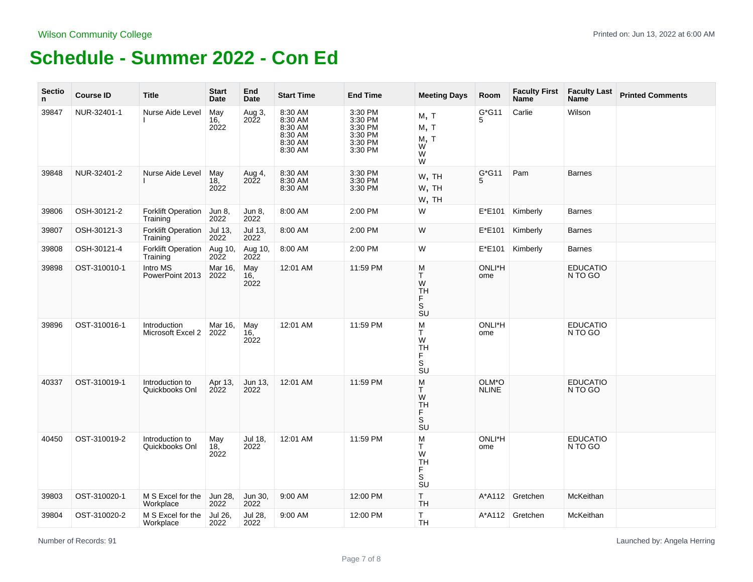| <b>Sectio</b><br>n | <b>Course ID</b> | <b>Title</b>                          | <b>Start</b><br>Date | End<br>Date            | <b>Start Time</b>                                              | <b>End Time</b>                                                | <b>Meeting Days</b>                                                                                                                                                     | Room                  | <b>Faculty First</b><br><b>Name</b> | <b>Faculty Last</b><br><b>Name</b> | <b>Printed Comments</b> |
|--------------------|------------------|---------------------------------------|----------------------|------------------------|----------------------------------------------------------------|----------------------------------------------------------------|-------------------------------------------------------------------------------------------------------------------------------------------------------------------------|-----------------------|-------------------------------------|------------------------------------|-------------------------|
| 39847              | NUR-32401-1      | Nurse Aide Level                      | May<br>16,<br>2022   | Aug 3,<br>2022         | 8:30 AM<br>8:30 AM<br>8:30 AM<br>8:30 AM<br>8:30 AM<br>8:30 AM | 3:30 PM<br>3:30 PM<br>3:30 PM<br>3:30 PM<br>3:30 PM<br>3:30 PM | M, T<br>M, T<br>M, T<br>W<br>W<br>W                                                                                                                                     | $G*G11$<br>5          | Carlie                              | Wilson                             |                         |
| 39848              | NUR-32401-2      | Nurse Aide Level                      | May<br>18,<br>2022   | Aug 4,<br>2022         | 8:30 AM<br>8:30 AM<br>8:30 AM                                  | 3:30 PM<br>3:30 PM<br>3:30 PM                                  | W, TH<br>W, TH<br>W, TH                                                                                                                                                 | $G^*G11$<br>5         | Pam                                 | <b>Barnes</b>                      |                         |
| 39806              | OSH-30121-2      | <b>Forklift Operation</b><br>Training | Jun 8,<br>2022       | Jun 8,<br>2022         | 8:00 AM                                                        | 2:00 PM                                                        | W                                                                                                                                                                       | E*E101                | Kimberly                            | <b>Barnes</b>                      |                         |
| 39807              | OSH-30121-3      | <b>Forklift Operation</b><br>Training | Jul 13,<br>2022      | Jul 13,<br>2022        | 8:00 AM                                                        | 2:00 PM                                                        | W                                                                                                                                                                       | E*E101                | Kimberly                            | <b>Barnes</b>                      |                         |
| 39808              | OSH-30121-4      | <b>Forklift Operation</b><br>Training | Aug 10,<br>2022      | Aug 10,<br><b>2022</b> | 8:00 AM                                                        | 2:00 PM                                                        | W                                                                                                                                                                       | E*E101                | Kimberly                            | <b>Barnes</b>                      |                         |
| 39898              | OST-310010-1     | Intro MS<br>PowerPoint 2013           | Mar 16,<br>2022      | May<br>16,<br>2022     | 12:01 AM                                                       | 11:59 PM                                                       | M<br>$\mathsf{T}$<br>W<br>TH<br>F<br>S<br>$\overline{\mathsf{S}}\mathsf{U}$                                                                                             | ONLI*H<br>ome         |                                     | <b>EDUCATIO</b><br>N TO GO         |                         |
| 39896              | OST-310016-1     | Introduction<br>Microsoft Excel 2     | Mar 16,<br>2022      | May<br>16,<br>2022     | 12:01 AM                                                       | 11:59 PM                                                       | M<br>T<br>W<br><b>TH</b><br>F<br>S<br><b>SU</b>                                                                                                                         | ONLI*H<br>ome         |                                     | <b>EDUCATIO</b><br>N TO GO         |                         |
| 40337              | OST-310019-1     | Introduction to<br>Quickbooks Onl     | Apr 13,<br>2022      | Jun 13,<br>2022        | 12:01 AM                                                       | 11:59 PM                                                       | $\mathsf{M}% _{T}=\mathsf{M}_{T}\!\left( a,b\right) ,\ \mathsf{M}_{T}=\mathsf{M}_{T}\!\left( a,b\right) ,$<br>T.<br>${\sf W}$<br><b>TH</b><br>F<br>S<br>$\overline{S}U$ | OLM*O<br><b>NLINE</b> |                                     | <b>EDUCATIO</b><br>N TO GO         |                         |
| 40450              | OST-310019-2     | Introduction to<br>Quickbooks Onl     | May<br>18,<br>2022   | Jul 18,<br>2022        | 12:01 AM                                                       | 11:59 PM                                                       | M<br>T<br>W<br><b>TH</b><br>F<br>$\mathbb S$<br>$\overline{S}U$                                                                                                         | ONLI*H<br>ome         |                                     | <b>EDUCATIO</b><br>N TO GO         |                         |
| 39803              | OST-310020-1     | M S Excel for the<br>Workplace        | Jun 28,<br>2022      | Jun 30,<br>2022        | 9:00 AM                                                        | 12:00 PM                                                       | T<br><b>TH</b>                                                                                                                                                          |                       | A*A112 Gretchen                     | McKeithan                          |                         |
| 39804              | OST-310020-2     | M S Excel for the<br>Workplace        | Jul 26,<br>2022      | Jul 28,<br>2022        | 9:00 AM                                                        | 12:00 PM                                                       | T<br><b>TH</b>                                                                                                                                                          |                       | A*A112 Gretchen                     | McKeithan                          |                         |